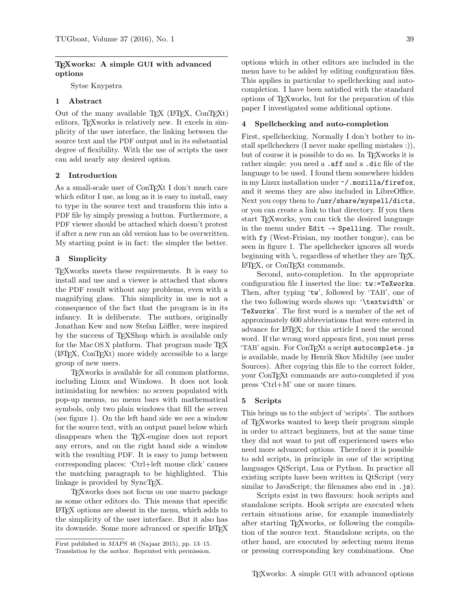# TEXworks: A simple GUI with advanced options

Sytse Knypstra

# 1 Abstract

Out of the many available T<sub>E</sub>X (L<sup>AT</sup>EX, ConTEXt) editors, TEXworks is relatively new. It excels in simplicity of the user interface, the linking between the source text and the PDF output and in its substantial degree of flexibility. With the use of scripts the user can add nearly any desired option.

## 2 Introduction

As a small-scale user of ConT<sub>E</sub>Xt I don't much care which editor I use, as long as it is easy to install, easy to type in the source text and transform this into a PDF file by simply pressing a button. Furthermore, a PDF viewer should be attached which doesn't protest if after a new run an old version has to be overwritten. My starting point is in fact: the simpler the better.

### 3 Simplicity

TEXworks meets these requirements. It is easy to install and use and a viewer is attached that shows the PDF result without any problems, even with a magnifying glass. This simplicity in use is not a consequence of the fact that the program is in its infancy. It is deliberate. The authors, originally Jonathan Kew and now Stefan Löffler, were inspired by the success of T<sub>E</sub>XShop which is available only for the Mac OS X platform. That program made T<sub>F</sub>X (LATEX, ConTEXt) more widely accessible to a large group of new users.

TEXworks is available for all common platforms, including Linux and Windows. It does not look intimidating for newbies: no screen populated with pop-up menus, no menu bars with mathematical symbols, only two plain windows that fill the screen (see figure 1). On the left hand side we see a window for the source text, with an output panel below which disappears when the TEX-engine does not report any errors, and on the right hand side a window with the resulting PDF. It is easy to jump between corresponding places: 'Ctrl+left mouse click' causes the matching paragraph to be highlighted. This linkage is provided by SyncT<sub>EX</sub>.

TEXworks does not focus on one macro package as some other editors do. This means that specific LATEX options are absent in the menu, which adds to the simplicity of the user interface. But it also has its downside. Some more advanced or specific LATEX

options which in other editors are included in the menu have to be added by editing configuration files. This applies in particular to spellchecking and autocompletion. I have been satisfied with the standard options of TEXworks, but for the preparation of this paper I investigated some additional options.

#### 4 Spellchecking and auto-completion

First, spellchecking. Normally I don't bother to install spellcheckers (I never make spelling mistakes :)), but of course it is possible to do so. In T<sub>EX</sub> works it is rather simple: you need a .aff and a .dic file of the language to be used. I found them somewhere hidden in my Linux installation under ~/.mozilla/firefox, and it seems they are also included in LibreOffice. Next you copy them to /usr/share/myspell/dicts, or you can create a link to that directory. If you then start TEXworks, you can tick the desired language in the menu under Edit  $\rightarrow$  Spelling. The result, with fy (West-Frisian, my mother tongue), can be seen in figure 1. The spellchecker ignores all words beginning with  $\lambda$ , regardless of whether they are T<sub>EX</sub>, LATEX, or ConTEXt commands.

Second, auto-completion. In the appropriate configuration file I inserted the line: tw:=TeXworks. Then, after typing 'tw', followed by 'TAB', one of the two following words shows up: '\textwidth' or 'TeXworks'. The first word is a member of the set of approximately 600 abbreviations that were entered in advance for LATEX; for this article I need the second word. If the wrong word appears first, you must press 'TAB' again. For ConTFXt a script autocomplete.js is available, made by Henrik Skov Midtiby (see under Sources). After copying this file to the correct folder, your ConTEXt commands are auto-completed if you press 'Ctrl+M' one or more times.

## 5 Scripts

This brings us to the subject of 'scripts'. The authors of TEXworks wanted to keep their program simple in order to attract beginners, but at the same time they did not want to put off experienced users who need more advanced options. Therefore it is possible to add scripts, in principle in one of the scripting languages QtScript, Lua or Python. In practice all existing scripts have been written in QtScript (very similar to JavaScript; the filenames also end in .js).

Scripts exist in two flavours: hook scripts and standalone scripts. Hook scripts are executed when certain situations arise, for example immediately after starting TEXworks, or following the compilation of the source text. Standalone scripts, on the other hand, are executed by selecting menu items or pressing corresponding key combinations. One

First published in MAPS 46 (Najaar 2015), pp. 13–15. Translation by the author. Reprinted with permission.